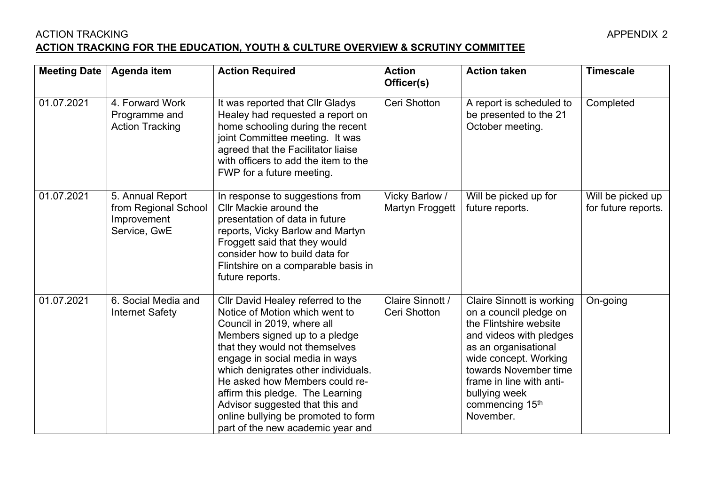## ACTION TRACKING APPENDIX 2 **ACTION TRACKING FOR THE EDUCATION, YOUTH & CULTURE OVERVIEW & SCRUTINY COMMITTEE**

| <b>Meeting Date</b> | Agenda item                                                             | <b>Action Required</b>                                                                                                                                                                                                                                                                                                                                                                                                             | <b>Action</b><br>Officer(s)       | <b>Action taken</b>                                                                                                                                                                                                                                                    | <b>Timescale</b>                         |
|---------------------|-------------------------------------------------------------------------|------------------------------------------------------------------------------------------------------------------------------------------------------------------------------------------------------------------------------------------------------------------------------------------------------------------------------------------------------------------------------------------------------------------------------------|-----------------------------------|------------------------------------------------------------------------------------------------------------------------------------------------------------------------------------------------------------------------------------------------------------------------|------------------------------------------|
| 01.07.2021          | 4. Forward Work<br>Programme and<br><b>Action Tracking</b>              | It was reported that CIIr Gladys<br>Healey had requested a report on<br>home schooling during the recent<br>joint Committee meeting. It was<br>agreed that the Facilitator liaise<br>with officers to add the item to the<br>FWP for a future meeting.                                                                                                                                                                             | Ceri Shotton                      | A report is scheduled to<br>be presented to the 21<br>October meeting.                                                                                                                                                                                                 | Completed                                |
| 01.07.2021          | 5. Annual Report<br>from Regional School<br>Improvement<br>Service, GwE | In response to suggestions from<br>Cllr Mackie around the<br>presentation of data in future<br>reports, Vicky Barlow and Martyn<br>Froggett said that they would<br>consider how to build data for<br>Flintshire on a comparable basis in<br>future reports.                                                                                                                                                                       | Vicky Barlow /<br>Martyn Froggett | Will be picked up for<br>future reports.                                                                                                                                                                                                                               | Will be picked up<br>for future reports. |
| 01.07.2021          | 6. Social Media and<br><b>Internet Safety</b>                           | Cllr David Healey referred to the<br>Notice of Motion which went to<br>Council in 2019, where all<br>Members signed up to a pledge<br>that they would not themselves<br>engage in social media in ways<br>which denigrates other individuals.<br>He asked how Members could re-<br>affirm this pledge. The Learning<br>Advisor suggested that this and<br>online bullying be promoted to form<br>part of the new academic year and | Claire Sinnott /<br>Ceri Shotton  | <b>Claire Sinnott is working</b><br>on a council pledge on<br>the Flintshire website<br>and videos with pledges<br>as an organisational<br>wide concept. Working<br>towards November time<br>frame in line with anti-<br>bullying week<br>commencing 15th<br>November. | On-going                                 |